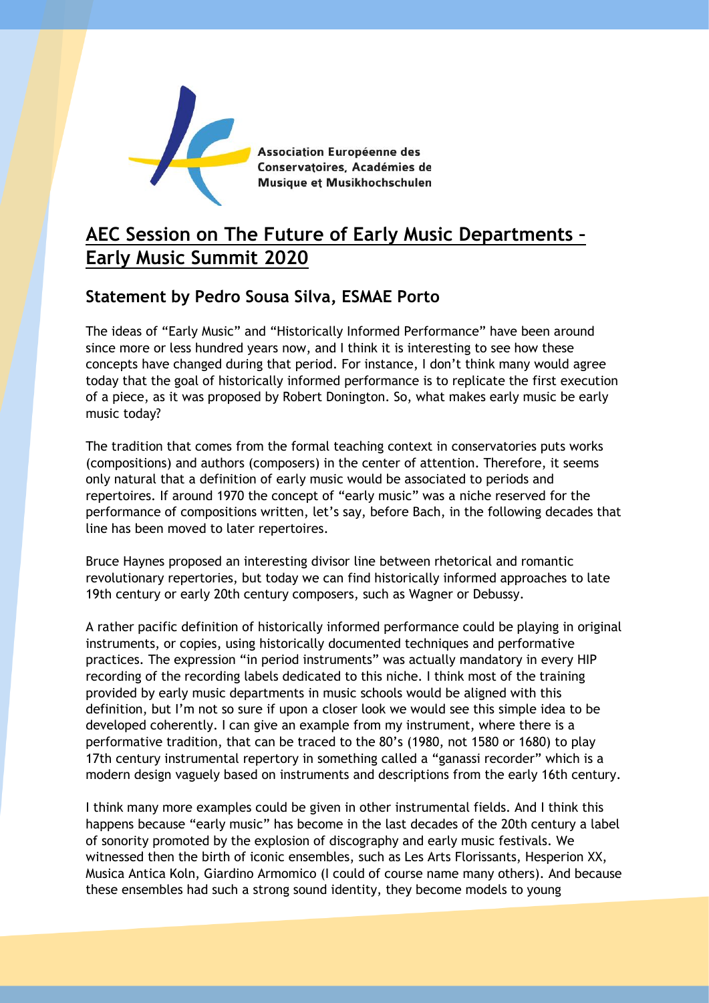

Association Européenne des Conservatoires, Académies de Musique et Musikhochschulen

## **AEC Session on The Future of Early Music Departments – Early Music Summit 2020**

## **Statement by Pedro Sousa Silva, ESMAE Porto**

The ideas of "Early Music" and "Historically Informed Performance" have been around since more or less hundred years now, and I think it is interesting to see how these concepts have changed during that period. For instance, I don't think many would agree today that the goal of historically informed performance is to replicate the first execution of a piece, as it was proposed by Robert Donington. So, what makes early music be early music today?

The tradition that comes from the formal teaching context in conservatories puts works (compositions) and authors (composers) in the center of attention. Therefore, it seems only natural that a definition of early music would be associated to periods and repertoires. If around 1970 the concept of "early music" was a niche reserved for the performance of compositions written, let's say, before Bach, in the following decades that line has been moved to later repertoires.

Bruce Haynes proposed an interesting divisor line between rhetorical and romantic revolutionary repertories, but today we can find historically informed approaches to late 19th century or early 20th century composers, such as Wagner or Debussy.

A rather pacific definition of historically informed performance could be playing in original instruments, or copies, using historically documented techniques and performative practices. The expression "in period instruments" was actually mandatory in every HIP recording of the recording labels dedicated to this niche. I think most of the training provided by early music departments in music schools would be aligned with this definition, but I'm not so sure if upon a closer look we would see this simple idea to be developed coherently. I can give an example from my instrument, where there is a performative tradition, that can be traced to the 80's (1980, not 1580 or 1680) to play 17th century instrumental repertory in something called a "ganassi recorder" which is a modern design vaguely based on instruments and descriptions from the early 16th century.

I think many more examples could be given in other instrumental fields. And I think this happens because "early music" has become in the last decades of the 20th century a label of sonority promoted by the explosion of discography and early music festivals. We witnessed then the birth of iconic ensembles, such as Les Arts Florissants, Hesperion XX, Musica Antica Koln, Giardino Armomico (I could of course name many others). And because these ensembles had such a strong sound identity, they become models to young